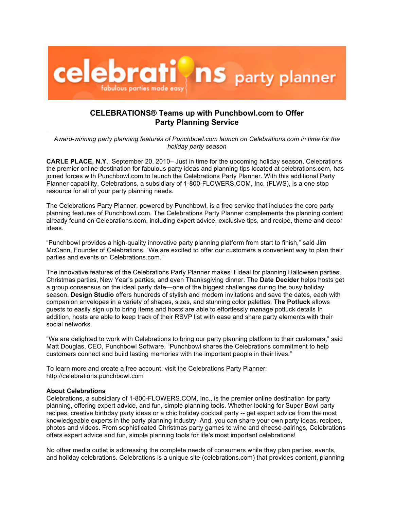

## **CELEBRATIONS® Teams up with Punchbowl.com to Offer Party Planning Service**

*Award-winning party planning features of Punchbowl.com launch on Celebrations.com in time for the holiday party season* 

**CARLE PLACE, N.Y**., September 20, 2010– Just in time for the upcoming holiday season, Celebrations the premier online destination for fabulous party ideas and planning tips located at celebrations.com, has joined forces with Punchbowl.com to launch the Celebrations Party Planner. With this additional Party Planner capability, Celebrations, a subsidiary of 1-800-FLOWERS.COM, Inc. (FLWS), is a one stop resource for all of your party planning needs.

The Celebrations Party Planner, powered by Punchbowl, is a free service that includes the core party planning features of Punchbowl.com. The Celebrations Party Planner complements the planning content already found on Celebrations.com, including expert advice, exclusive tips, and recipe, theme and decor ideas.

"Punchbowl provides a high-quality innovative party planning platform from start to finish," said Jim McCann, Founder of Celebrations. "We are excited to offer our customers a convenient way to plan their parties and events on Celebrations.com."

The innovative features of the Celebrations Party Planner makes it ideal for planning Halloween parties, Christmas parties, New Year's parties, and even Thanksgiving dinner. The **Date Decider** helps hosts get a group consensus on the ideal party date—one of the biggest challenges during the busy holiday season. **Design Studio** offers hundreds of stylish and modern invitations and save the dates, each with companion envelopes in a variety of shapes, sizes, and stunning color palettes. **The Potluck** allows guests to easily sign up to bring items and hosts are able to effortlessly manage potluck details In addition, hosts are able to keep track of their RSVP list with ease and share party elements with their social networks.

"We are delighted to work with Celebrations to bring our party planning platform to their customers," said Matt Douglas, CEO, Punchbowl Software. "Punchbowl shares the Celebrations commitment to help customers connect and build lasting memories with the important people in their lives."

To learn more and create a free account, visit the Celebrations Party Planner: http://celebrations.punchbowl.com

## **About Celebrations**

Celebrations, a subsidiary of 1-800-FLOWERS.COM, Inc., is the premier online destination for party planning, offering expert advice, and fun, simple planning tools. Whether looking for Super Bowl party recipes, creative birthday party ideas or a chic holiday cocktail party -- get expert advice from the most knowledgeable experts in the party planning industry. And, you can share your own party ideas, recipes, photos and videos. From sophisticated Christmas party games to wine and cheese pairings, Celebrations offers expert advice and fun, simple planning tools for life's most important celebrations!

No other media outlet is addressing the complete needs of consumers while they plan parties, events, and holiday celebrations. Celebrations is a unique site (celebrations.com) that provides content, planning